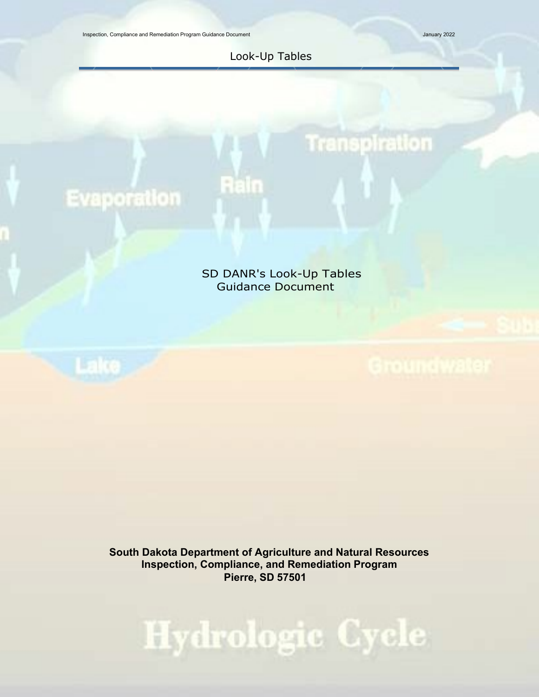Inspection, Compliance and Remediation Program Guidance Document January 2022

### Look-Up Tables

Rain

# Transpiration

# **Evaporation**

### SD DANR's Look-Up Tables Guidance Document

**South Dakota Department of Agriculture and Natural Resources Inspection, Compliance, and Remediation Program Pierre, SD 57501**

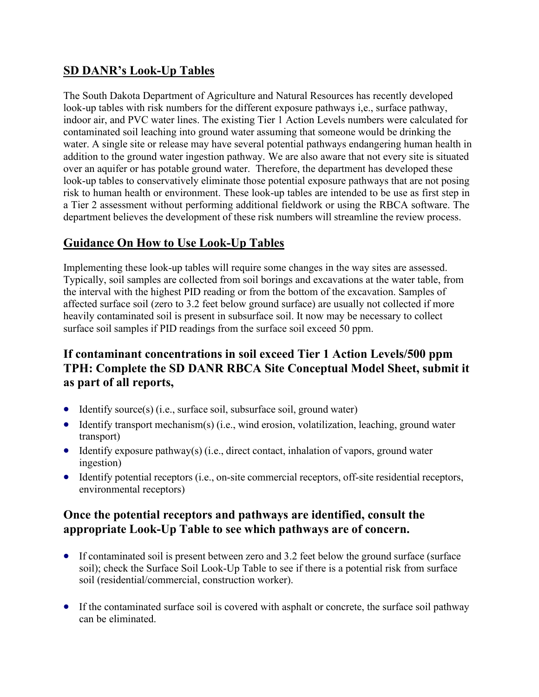# **SD DANR's Look-Up Tables**

The South Dakota Department of Agriculture and Natural Resources has recently developed look-up tables with risk numbers for the different exposure pathways i,e., surface pathway, indoor air, and PVC water lines. The existing Tier 1 Action Levels numbers were calculated for contaminated soil leaching into ground water assuming that someone would be drinking the water. A single site or release may have several potential pathways endangering human health in addition to the ground water ingestion pathway. We are also aware that not every site is situated over an aquifer or has potable ground water. Therefore, the department has developed these look-up tables to conservatively eliminate those potential exposure pathways that are not posing risk to human health or environment. These look-up tables are intended to be use as first step in a Tier 2 assessment without performing additional fieldwork or using the RBCA software. The department believes the development of these risk numbers will streamline the review process.

# **Guidance On How to Use Look-Up Tables**

Implementing these look-up tables will require some changes in the way sites are assessed. Typically, soil samples are collected from soil borings and excavations at the water table, from the interval with the highest PID reading or from the bottom of the excavation. Samples of affected surface soil (zero to 3.2 feet below ground surface) are usually not collected if more heavily contaminated soil is present in subsurface soil. It now may be necessary to collect surface soil samples if PID readings from the surface soil exceed 50 ppm.

# **If contaminant concentrations in soil exceed Tier 1 Action Levels/500 ppm TPH: Complete the SD DANR RBCA Site Conceptual Model Sheet, submit it as part of all reports,**

- Identify source(s) (i.e., surface soil, subsurface soil, ground water)
- Identify transport mechanism(s) (i.e., wind erosion, volatilization, leaching, ground water transport)
- Identify exposure pathway(s) (i.e., direct contact, inhalation of vapors, ground water ingestion)
- Identify potential receptors (i.e., on-site commercial receptors, off-site residential receptors, environmental receptors)

# **Once the potential receptors and pathways are identified, consult the appropriate Look-Up Table to see which pathways are of concern.**

- If contaminated soil is present between zero and 3.2 feet below the ground surface (surface soil); check the Surface Soil Look-Up Table to see if there is a potential risk from surface soil (residential/commercial, construction worker).
- If the contaminated surface soil is covered with asphalt or concrete, the surface soil pathway can be eliminated.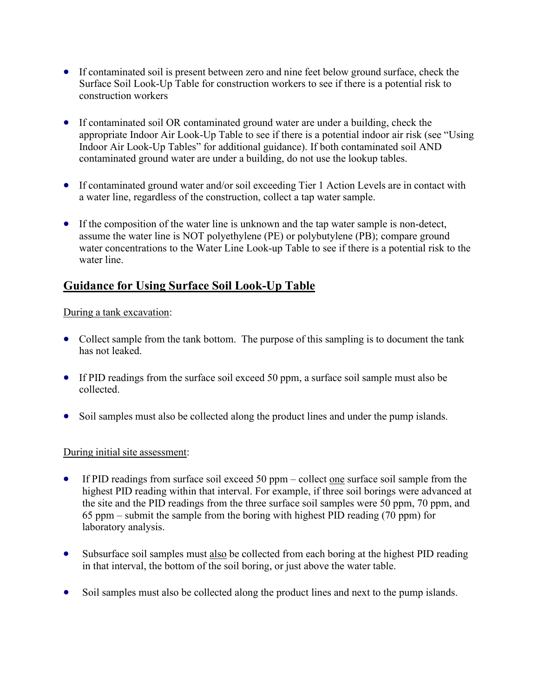- If contaminated soil is present between zero and nine feet below ground surface, check the Surface Soil Look-Up Table for construction workers to see if there is a potential risk to construction workers
- If contaminated soil OR contaminated ground water are under a building, check the appropriate Indoor Air Look-Up Table to see if there is a potential indoor air risk (see "Using Indoor Air Look-Up Tables" for additional guidance). If both contaminated soil AND contaminated ground water are under a building, do not use the lookup tables.
- If contaminated ground water and/or soil exceeding Tier 1 Action Levels are in contact with a water line, regardless of the construction, collect a tap water sample.
- If the composition of the water line is unknown and the tap water sample is non-detect, assume the water line is NOT polyethylene (PE) or polybutylene (PB); compare ground water concentrations to the Water Line Look-up Table to see if there is a potential risk to the water line.

# **Guidance for Using Surface Soil Look-Up Table**

#### During a tank excavation:

- Collect sample from the tank bottom. The purpose of this sampling is to document the tank has not leaked.
- If PID readings from the surface soil exceed 50 ppm, a surface soil sample must also be collected.
- Soil samples must also be collected along the product lines and under the pump islands.

#### During initial site assessment:

- If PID readings from surface soil exceed 50 ppm collect <u>one</u> surface soil sample from the highest PID reading within that interval. For example, if three soil borings were advanced at the site and the PID readings from the three surface soil samples were 50 ppm, 70 ppm, and 65 ppm – submit the sample from the boring with highest PID reading (70 ppm) for laboratory analysis.
- Subsurface soil samples must also be collected from each boring at the highest PID reading in that interval, the bottom of the soil boring, or just above the water table.
- Soil samples must also be collected along the product lines and next to the pump islands.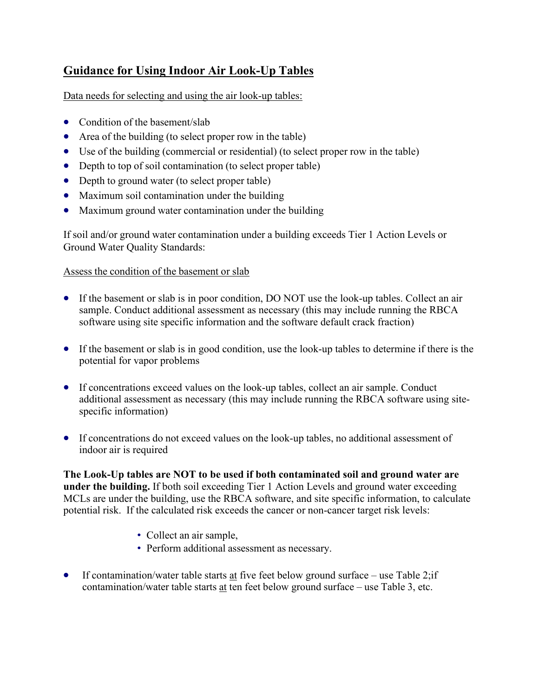# **Guidance for Using Indoor Air Look-Up Tables**

Data needs for selecting and using the air look-up tables:

- Condition of the basement/slab
- Area of the building (to select proper row in the table)
- Use of the building (commercial or residential) (to select proper row in the table)
- Depth to top of soil contamination (to select proper table)
- Depth to ground water (to select proper table)
- Maximum soil contamination under the building
- Maximum ground water contamination under the building

If soil and/or ground water contamination under a building exceeds Tier 1 Action Levels or Ground Water Quality Standards:

#### Assess the condition of the basement or slab

- If the basement or slab is in poor condition, DO NOT use the look-up tables. Collect an air sample. Conduct additional assessment as necessary (this may include running the RBCA software using site specific information and the software default crack fraction)
- If the basement or slab is in good condition, use the look-up tables to determine if there is the potential for vapor problems
- If concentrations exceed values on the look-up tables, collect an air sample. Conduct additional assessment as necessary (this may include running the RBCA software using sitespecific information)
- If concentrations do not exceed values on the look-up tables, no additional assessment of indoor air is required

**The Look-Up tables are NOT to be used if both contaminated soil and ground water are under the building.** If both soil exceeding Tier 1 Action Levels and ground water exceeding MCLs are under the building, use the RBCA software, and site specific information, to calculate potential risk. If the calculated risk exceeds the cancer or non-cancer target risk levels:

- Collect an air sample,
- Perform additional assessment as necessary.
- If contamination/water table starts at five feet below ground surface use Table 2; if contamination/water table starts at ten feet below ground surface – use Table 3, etc.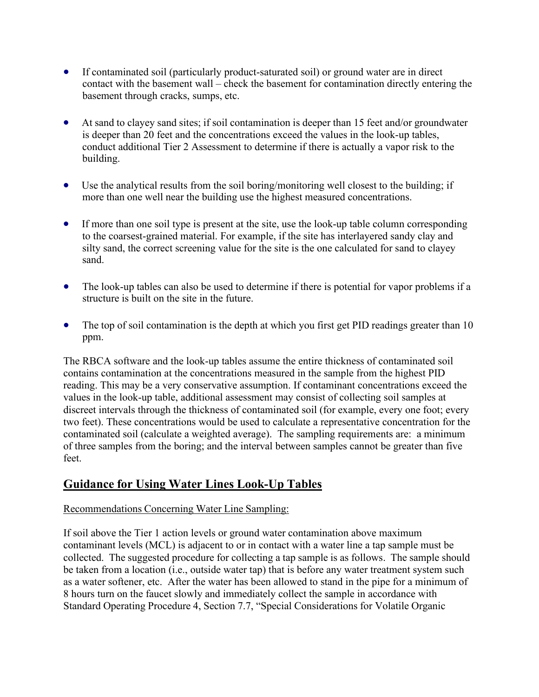- If contaminated soil (particularly product-saturated soil) or ground water are in direct contact with the basement wall – check the basement for contamination directly entering the basement through cracks, sumps, etc.
- At sand to clayey sand sites; if soil contamination is deeper than 15 feet and/or groundwater is deeper than 20 feet and the concentrations exceed the values in the look-up tables, conduct additional Tier 2 Assessment to determine if there is actually a vapor risk to the building.
- Use the analytical results from the soil boring/monitoring well closest to the building; if more than one well near the building use the highest measured concentrations.
- If more than one soil type is present at the site, use the look-up table column corresponding to the coarsest-grained material. For example, if the site has interlayered sandy clay and silty sand, the correct screening value for the site is the one calculated for sand to clayey sand.
- The look-up tables can also be used to determine if there is potential for vapor problems if a structure is built on the site in the future.
- The top of soil contamination is the depth at which you first get PID readings greater than 10 ppm.

The RBCA software and the look-up tables assume the entire thickness of contaminated soil contains contamination at the concentrations measured in the sample from the highest PID reading. This may be a very conservative assumption. If contaminant concentrations exceed the values in the look-up table, additional assessment may consist of collecting soil samples at discreet intervals through the thickness of contaminated soil (for example, every one foot; every two feet). These concentrations would be used to calculate a representative concentration for the contaminated soil (calculate a weighted average). The sampling requirements are: a minimum of three samples from the boring; and the interval between samples cannot be greater than five feet.

## **Guidance for Using Water Lines Look-Up Tables**

#### Recommendations Concerning Water Line Sampling:

If soil above the Tier 1 action levels or ground water contamination above maximum contaminant levels (MCL) is adjacent to or in contact with a water line a tap sample must be collected. The suggested procedure for collecting a tap sample is as follows. The sample should be taken from a location (i.e., outside water tap) that is before any water treatment system such as a water softener, etc. After the water has been allowed to stand in the pipe for a minimum of 8 hours turn on the faucet slowly and immediately collect the sample in accordance with Standard Operating Procedure 4, Section 7.7, "Special Considerations for Volatile Organic